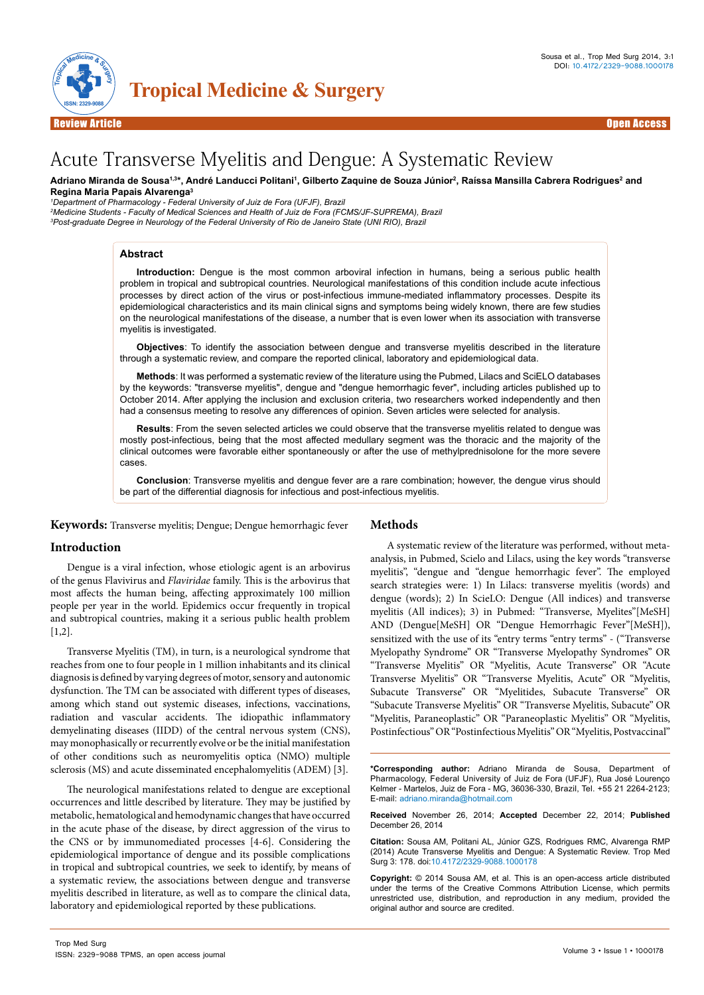

# Acute Transverse Myelitis and Dengue: A Systematic Review

Adriano Miranda de Sousa<sup>1,3\*</sup>, André Landucci Politani<sup>1</sup>, Gilberto Zaquine de Souza Júnior<sup>2</sup>, Raíssa Mansilla Cabrera Rodrigues<sup>2</sup> and **Regina Maria Papais Alvarenga3**

*1 Department of Pharmacology - Federal University of Juiz de Fora (UFJF), Brazil*

*2 Medicine Students - Faculty of Medical Sciences and Health of Juiz de Fora (FCMS/JF-SUPREMA), Brazil 3 Post-graduate Degree in Neurology of the Federal University of Rio de Janeiro State (UNI RIO), Brazil*

# **Abstract**

**Introduction:** Dengue is the most common arboviral infection in humans, being a serious public health problem in tropical and subtropical countries. Neurological manifestations of this condition include acute infectious processes by direct action of the virus or post-infectious immune-mediated inflammatory processes. Despite its epidemiological characteristics and its main clinical signs and symptoms being widely known, there are few studies on the neurological manifestations of the disease, a number that is even lower when its association with transverse myelitis is investigated.

**Objectives**: To identify the association between dengue and transverse myelitis described in the literature through a systematic review, and compare the reported clinical, laboratory and epidemiological data.

**Methods**: It was performed a systematic review of the literature using the Pubmed, Lilacs and SciELO databases by the keywords: "transverse myelitis", dengue and "dengue hemorrhagic fever", including articles published up to October 2014. After applying the inclusion and exclusion criteria, two researchers worked independently and then had a consensus meeting to resolve any differences of opinion. Seven articles were selected for analysis.

**Results**: From the seven selected articles we could observe that the transverse myelitis related to dengue was mostly post-infectious, being that the most affected medullary segment was the thoracic and the majority of the clinical outcomes were favorable either spontaneously or after the use of methylprednisolone for the more severe cases.

**Conclusion**: Transverse myelitis and dengue fever are a rare combination; however, the dengue virus should be part of the differential diagnosis for infectious and post-infectious myelitis.

**Keywords:** Transverse myelitis; Dengue; Dengue hemorrhagic fever

### **Introduction**

Dengue is a viral infection, whose etiologic agent is an arbovirus of the genus Flavivirus and *Flaviridae* family. This is the arbovirus that most affects the human being, affecting approximately 100 million people per year in the world. Epidemics occur frequently in tropical and subtropical countries, making it a serious public health problem [1,2].

Transverse Myelitis (TM), in turn, is a neurological syndrome that reaches from one to four people in 1 million inhabitants and its clinical diagnosis is defined by varying degrees of motor, sensory and autonomic dysfunction. The TM can be associated with different types of diseases, among which stand out systemic diseases, infections, vaccinations, radiation and vascular accidents. The idiopathic inflammatory demyelinating diseases (IIDD) of the central nervous system (CNS), may monophasically or recurrently evolve or be the initial manifestation of other conditions such as neuromyelitis optica (NMO) multiple sclerosis (MS) and acute disseminated encephalomyelitis (ADEM) [3].

The neurological manifestations related to dengue are exceptional occurrences and little described by literature. They may be justified by metabolic, hematological and hemodynamic changes that have occurred in the acute phase of the disease, by direct aggression of the virus to the CNS or by immunomediated processes [4-6]. Considering the epidemiological importance of dengue and its possible complications in tropical and subtropical countries, we seek to identify, by means of a systematic review, the associations between dengue and transverse myelitis described in literature, as well as to compare the clinical data, laboratory and epidemiological reported by these publications.

### **Methods**

A systematic review of the literature was performed, without metaanalysis, in Pubmed, Scielo and Lilacs, using the key words "transverse myelitis", "dengue and "dengue hemorrhagic fever". The employed search strategies were: 1) In Lilacs: transverse myelitis (words) and dengue (words); 2) In ScieLO: Dengue (All indices) and transverse myelitis (All indices); 3) in Pubmed: "Transverse, Myelites"[MeSH] AND (Dengue[MeSH] OR "Dengue Hemorrhagic Fever"[MeSH]), sensitized with the use of its "entry terms "entry terms" - ("Transverse Myelopathy Syndrome" OR "Transverse Myelopathy Syndromes" OR "Transverse Myelitis" OR "Myelitis, Acute Transverse" OR "Acute Transverse Myelitis" OR "Transverse Myelitis, Acute" OR "Myelitis, Subacute Transverse" OR "Myelitides, Subacute Transverse" OR "Subacute Transverse Myelitis" OR "Transverse Myelitis, Subacute" OR "Myelitis, Paraneoplastic" OR "Paraneoplastic Myelitis" OR "Myelitis, Postinfectious" OR "Postinfectious Myelitis" OR "Myelitis, Postvaccinal"

**\*Corresponding author:** Adriano Miranda de Sousa, Department of Pharmacology, Federal University of Juiz de Fora (UFJF), Rua José Lourenço Kelmer - Martelos, Juiz de Fora - MG, 36036-330, Brazil, Tel. +55 21 2264-2123; E-mail: adriano.miranda@hotmail.com

**Received** November 26, 2014; **Accepted** December 22, 2014; **Published** December 26, 2014

**Citation:** Sousa AM, Politani AL, Júnior GZS, Rodrigues RMC, Alvarenga RMP (2014) Acute Transverse Myelitis and Dengue: A Systematic Review. Trop Med Surg 3: 178. doi:10.4172/2329-9088.1000178

**Copyright:** © 2014 Sousa AM, et al. This is an open-access article distributed under the terms of the Creative Commons Attribution License, which permits unrestricted use, distribution, and reproduction in any medium, provided the original author and source are credited.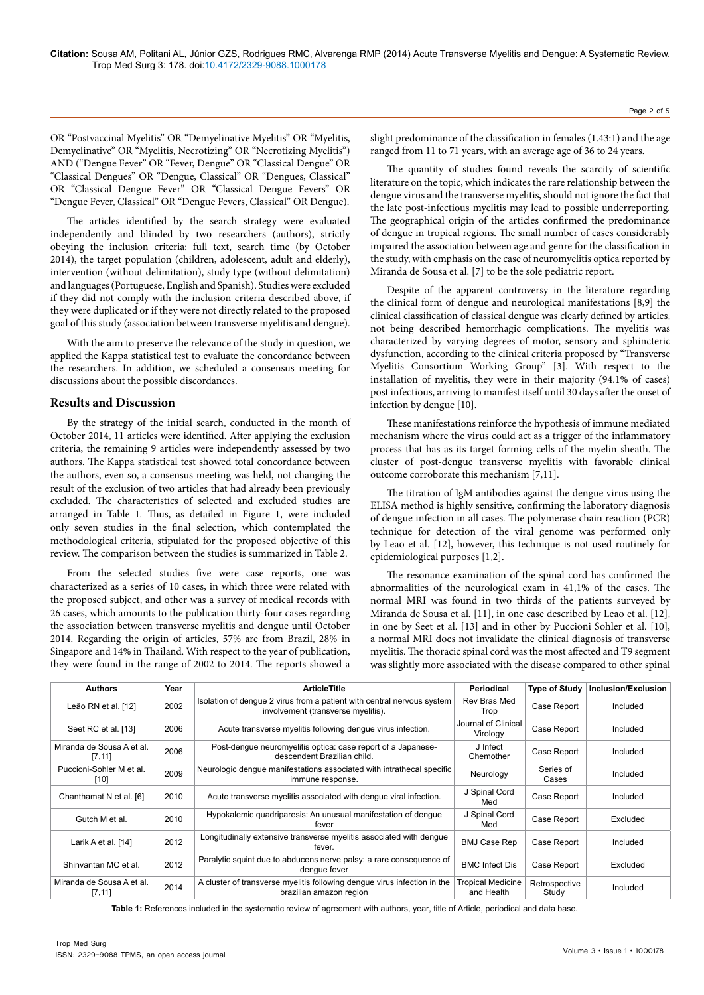OR "Postvaccinal Myelitis" OR "Demyelinative Myelitis" OR "Myelitis, Demyelinative" OR "Myelitis, Necrotizing" OR "Necrotizing Myelitis") AND ("Dengue Fever" OR "Fever, Dengue" OR "Classical Dengue" OR "Classical Dengues" OR "Dengue, Classical" OR "Dengues, Classical" OR "Classical Dengue Fever" OR "Classical Dengue Fevers" OR "Dengue Fever, Classical" OR "Dengue Fevers, Classical" OR Dengue).

The articles identified by the search strategy were evaluated independently and blinded by two researchers (authors), strictly obeying the inclusion criteria: full text, search time (by October 2014), the target population (children, adolescent, adult and elderly), intervention (without delimitation), study type (without delimitation) and languages (Portuguese, English and Spanish). Studies were excluded if they did not comply with the inclusion criteria described above, if they were duplicated or if they were not directly related to the proposed goal of this study (association between transverse myelitis and dengue).

With the aim to preserve the relevance of the study in question, we applied the Kappa statistical test to evaluate the concordance between the researchers. In addition, we scheduled a consensus meeting for discussions about the possible discordances.

# **Results and Discussion**

By the strategy of the initial search, conducted in the month of October 2014, 11 articles were identified. After applying the exclusion criteria, the remaining 9 articles were independently assessed by two authors. The Kappa statistical test showed total concordance between the authors, even so, a consensus meeting was held, not changing the result of the exclusion of two articles that had already been previously excluded. The characteristics of selected and excluded studies are arranged in Table 1*.* Thus, as detailed in Figure 1, were included only seven studies in the final selection, which contemplated the methodological criteria, stipulated for the proposed objective of this review. The comparison between the studies is summarized in Table 2.

From the selected studies five were case reports, one was characterized as a series of 10 cases, in which three were related with the proposed subject, and other was a survey of medical records with 26 cases, which amounts to the publication thirty-four cases regarding the association between transverse myelitis and dengue until October 2014. Regarding the origin of articles, 57% are from Brazil, 28% in Singapore and 14% in Thailand. With respect to the year of publication, they were found in the range of 2002 to 2014. The reports showed a

slight predominance of the classification in females (1.43:1) and the age ranged from 11 to 71 years, with an average age of 36 to 24 years.

The quantity of studies found reveals the scarcity of scientific literature on the topic, which indicates the rare relationship between the dengue virus and the transverse myelitis, should not ignore the fact that the late post-infectious myelitis may lead to possible underreporting. The geographical origin of the articles confirmed the predominance of dengue in tropical regions. The small number of cases considerably impaired the association between age and genre for the classification in the study, with emphasis on the case of neuromyelitis optica reported by Miranda de Sousa et al. [7] to be the sole pediatric report.

Despite of the apparent controversy in the literature regarding the clinical form of dengue and neurological manifestations [8,9] the clinical classification of classical dengue was clearly defined by articles, not being described hemorrhagic complications. The myelitis was characterized by varying degrees of motor, sensory and sphincteric dysfunction, according to the clinical criteria proposed by "Transverse Myelitis Consortium Working Group" [3]. With respect to the installation of myelitis, they were in their majority (94.1% of cases) post infectious, arriving to manifest itself until 30 days after the onset of infection by dengue [10].

These manifestations reinforce the hypothesis of immune mediated mechanism where the virus could act as a trigger of the inflammatory process that has as its target forming cells of the myelin sheath. The cluster of post-dengue transverse myelitis with favorable clinical outcome corroborate this mechanism [7,11].

The titration of IgM antibodies against the dengue virus using the ELISA method is highly sensitive, confirming the laboratory diagnosis of dengue infection in all cases. The polymerase chain reaction (PCR) technique for detection of the viral genome was performed only by Leao et al. [12], however, this technique is not used routinely for epidemiological purposes [1,2].

The resonance examination of the spinal cord has confirmed the abnormalities of the neurological exam in 41,1% of the cases. The normal MRI was found in two thirds of the patients surveyed by Miranda de Sousa et al. [11], in one case described by Leao et al. [12], in one by Seet et al. [13] and in other by Puccioni Sohler et al. [10], a normal MRI does not invalidate the clinical diagnosis of transverse myelitis. The thoracic spinal cord was the most affected and T9 segment was slightly more associated with the disease compared to other spinal

| <b>Authors</b>                       | Year | <b>ArticleTitle</b>                                                                                          | Periodical                             | <b>Type of Study</b>   | Inclusion/Exclusion |
|--------------------------------------|------|--------------------------------------------------------------------------------------------------------------|----------------------------------------|------------------------|---------------------|
| Leão RN et al. [12]                  | 2002 | Isolation of dengue 2 virus from a patient with central nervous system<br>involvement (transverse myelitis). | Rev Bras Med<br>Trop                   | Case Report            | Included            |
| Seet RC et al. [13]                  | 2006 | Acute transverse myelitis following dengue virus infection.                                                  | Journal of Clinical<br>Virology        | Case Report            | Included            |
| Miranda de Sousa A et al.<br>[7, 11] | 2006 | Post-dengue neuromyelitis optica: case report of a Japanese-<br>descendent Brazilian child.                  | J Infect<br>Chemother                  | Case Report            | Included            |
| Puccioni-Sohler M et al.<br>[10]     | 2009 | Neurologic dengue manifestations associated with intrathecal specific<br>immune response.                    | Neurology                              | Series of<br>Cases     | Included            |
| Chanthamat N et al. [6]              | 2010 | Acute transverse myelitis associated with denque viral infection.                                            | J Spinal Cord<br>Med                   | Case Report            | Included            |
| Gutch M et al.                       | 2010 | Hypokalemic quadriparesis: An unusual manifestation of denque<br>fever                                       | J Spinal Cord<br>Med                   | Case Report            | Excluded            |
| Larik A et al. [14]                  | 2012 | Longitudinally extensive transverse myelitis associated with dengue<br>fever.                                | <b>BMJ Case Rep</b>                    | Case Report            | Included            |
| Shinvantan MC et al.                 | 2012 | Paralytic squint due to abducens nerve palsy: a rare consequence of<br>denque fever                          | <b>BMC Infect Dis</b>                  | Case Report            | Excluded            |
| Miranda de Sousa A et al.<br>[7, 11] | 2014 | A cluster of transverse myelitis following dengue virus infection in the<br>brazilian amazon region          | <b>Tropical Medicine</b><br>and Health | Retrospective<br>Study | Included            |

**Table 1:** References included in the systematic review of agreement with authors, year, title of Article, periodical and data base.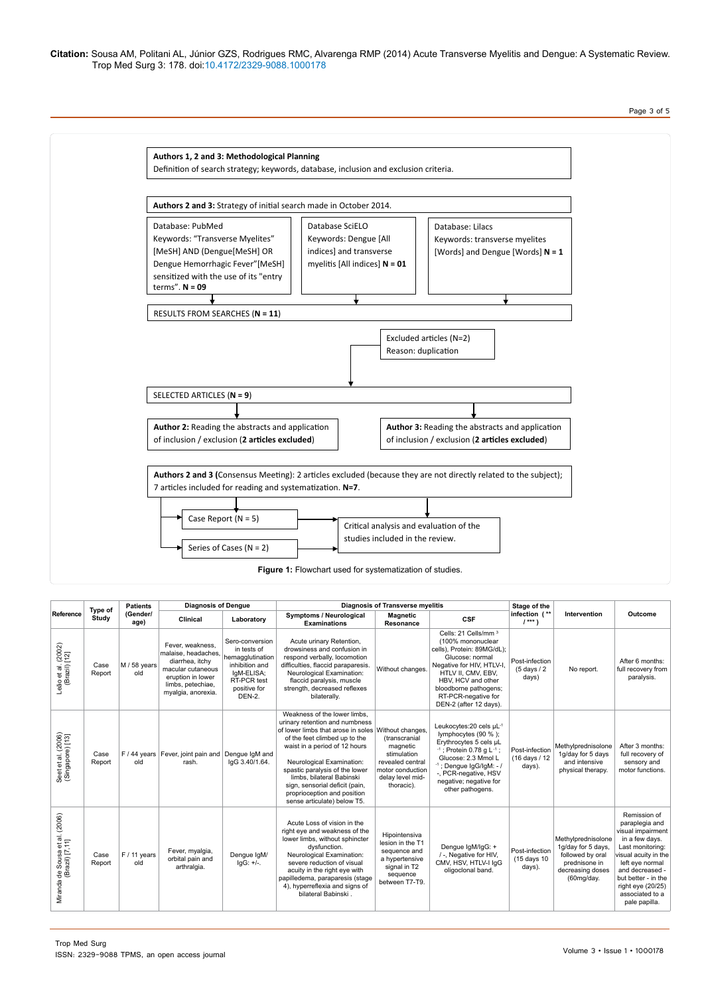**Citation:** Sousa AM, Politani AL, Júnior GZS, Rodrigues RMC, Alvarenga RMP (2014) Acute Transverse Myelitis and Dengue: A Systematic Review. Trop Med Surg 3: 178. doi:10.4172/2329-9088.1000178

Page 3 of 5



| Reference                                         | Type of<br>Study | <b>Patients</b><br>(Gender/<br>age) | <b>Diagnosis of Dengue</b>                                                                                                                      |                                                                                                                             | <b>Diagnosis of Transverse myelitis</b>                                                                                                                                                                                                                                                                                                                                             |                                                                                                                    |                                                                                                                                                                                                                                                          |                                           |                                                                                                                 |                                                                                                                                                                                                                                         |
|---------------------------------------------------|------------------|-------------------------------------|-------------------------------------------------------------------------------------------------------------------------------------------------|-----------------------------------------------------------------------------------------------------------------------------|-------------------------------------------------------------------------------------------------------------------------------------------------------------------------------------------------------------------------------------------------------------------------------------------------------------------------------------------------------------------------------------|--------------------------------------------------------------------------------------------------------------------|----------------------------------------------------------------------------------------------------------------------------------------------------------------------------------------------------------------------------------------------------------|-------------------------------------------|-----------------------------------------------------------------------------------------------------------------|-----------------------------------------------------------------------------------------------------------------------------------------------------------------------------------------------------------------------------------------|
|                                                   |                  |                                     | Clinical                                                                                                                                        | Laboratory                                                                                                                  | Symptoms / Neurological<br><b>Examinations</b>                                                                                                                                                                                                                                                                                                                                      | <b>Magnetic</b><br>Resonance                                                                                       | <b>CSF</b>                                                                                                                                                                                                                                               | infection (**<br>$1***$                   | Intervention                                                                                                    | Outcome                                                                                                                                                                                                                                 |
| Leão et al. (2002)<br>(Brazil) [12]               | Case<br>Report   | M / 58 years<br>old                 | Fever, weakness.<br>malaise, headaches,<br>diarrhea. itchv<br>macular cutaneous<br>eruption in lower<br>limbs, petechiae,<br>myalgia, anorexia. | Sero-conversion<br>in tests of<br>hemagglutination<br>inhibition and<br>IgM-ELISA;<br>RT-PCR test<br>positive for<br>DEN-2. | Acute urinary Retention,<br>drowsiness and confusion in<br>respond verbally, locomotion<br>difficulties, flaccid paraparesis.<br>Neurological Examination:<br>flaccid paralysis, muscle<br>strength, decreased reflexes<br>bilaterally.                                                                                                                                             | Without changes.                                                                                                   | Cells: 21 Cells/mm <sup>3</sup><br>(100% mononuclear<br>cells), Protein: 89MG/dL);<br>Glucose: normal<br>Negative for HIV, HTLV-I,<br>HTLV II, CMV, EBV,<br>HBV, HCV and other<br>bloodborne pathogens;<br>RT-PCR-negative for<br>DEN-2 (after 12 days). | Post-infection<br>$(5$ days $/2$<br>days) | No report.                                                                                                      | After 6 months:<br>full recovery from<br>paralysis.                                                                                                                                                                                     |
| Seet et al. (2006)<br>(Singapore) [13]            | Case<br>Report   | old                                 | F / 44 years   Fever, joint pain and   Dengue IgM and<br>rash.                                                                                  | laG 3.40/1.64.                                                                                                              | Weakness of the lower limbs.<br>urinary retention and numbness<br>of lower limbs that arose in soles Without changes,<br>of the feet climbed up to the<br>waist in a period of 12 hours<br>Neurological Examination:<br>spastic paralysis of the lower<br>limbs, bilateral Babinski<br>sign, sensorial deficit (pain,<br>proprioception and position<br>sense articulate) below T5. | (transcranial<br>magnetic<br>stimulation<br>revealed central<br>motor conduction<br>delay level mid-<br>thoracic). | Leukocytes: 20 cels µL-1<br>lymphocytes (90 %);<br>Erythrocytes 5 cels µL<br>$-1$ ; Protein 0.78 g L $-1$ ;<br>Glucose: 2.3 Mmol L<br>$-1$ ; Dengue IgG/IgM: $-1$<br>-, PCR-negative, HSV<br>negative; negative for<br>other pathogens.                  | Post-infection<br>(16 days / 12<br>days). | Methylprednisolone<br>1g/day for 5 days<br>and intensive<br>physical therapy.                                   | After 3 months:<br>full recovery of<br>sensory and<br>motor functions.                                                                                                                                                                  |
| Miranda de Sousa et al. (2006)<br>(Brazil) [7,11] | Case<br>Report   | $F / 11$ years<br>old               | Fever, myalgia,<br>orbital pain and<br>arthralgia.                                                                                              | Dengue IgM/<br>$lgG: +/-$ .                                                                                                 | Acute Loss of vision in the<br>right eye and weakness of the<br>lower limbs, without sphincter<br>dysfunction.<br>Neurological Examination:<br>severe reduction of visual<br>acuity in the right eye with<br>papilledema, paraparesis (stage<br>4), hyperreflexia and signs of<br>bilateral Babinski.                                                                               | Hipointensiva<br>lesion in the T1<br>sequence and<br>a hypertensive<br>signal in T2<br>sequence<br>between T7-T9.  | Denque IgM/IgG: +<br>/-, Negative for HIV,<br>CMV, HSV, HTLV-I IgG<br>oligoclonal band.                                                                                                                                                                  | Post-infection<br>(15 days 10<br>days).   | Methylprednisolone<br>1g/day for 5 days.<br>followed by oral<br>prednisone in<br>decreasing doses<br>(60mg/day. | Remission of<br>paraplegia and<br>visual impairment<br>in a few days.<br>Last monitoring:<br>visual acuity in the<br>left eye normal<br>and decreased -<br>but better - in the<br>right eye (20/25)<br>associated to a<br>pale papilla. |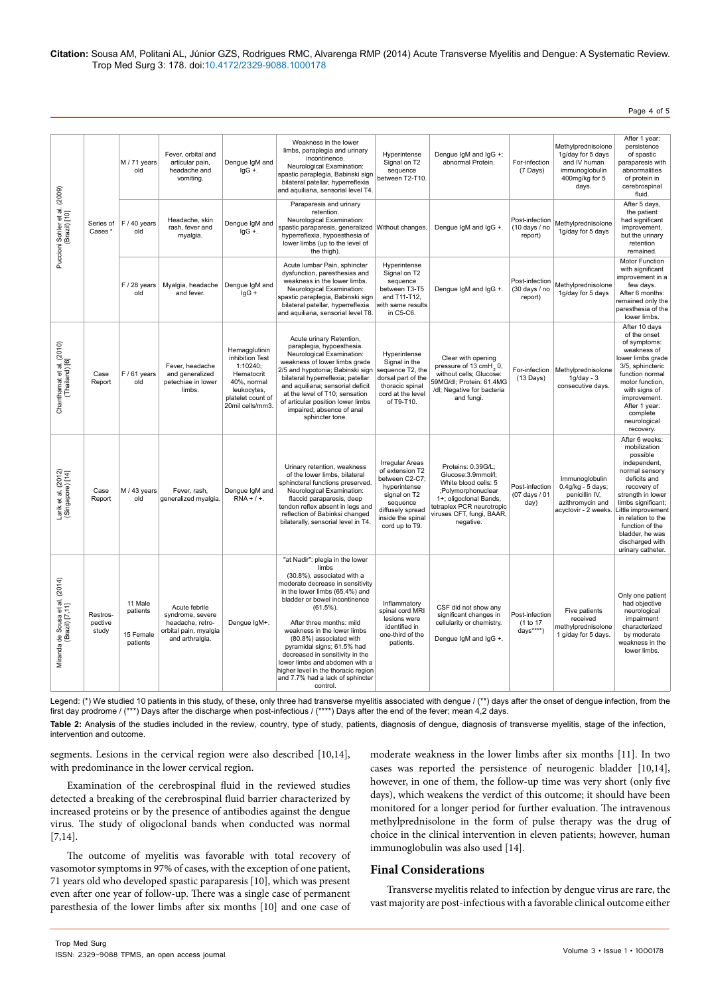**Citation:** Sousa AM, Politani AL, Júnior GZS, Rodrigues RMC, Alvarenga RMP (2014) Acute Transverse Myelitis and Dengue: A Systematic Review. Trop Med Surg 3: 178. doi:10.4172/2329-9088.1000178

Page 4 of 5

| Puccioni Sohler et al. (2009)<br>(Brazil) [10]    | Series of<br>Cases *         | M / 71 years<br>old                          | Fever, orbital and<br>articular pain,<br>headache and<br>vomiting.                                | Dengue IgM and<br>$lgG +$ .                                                                                                       | Weakness in the lower<br>limbs, paraplegia and urinary<br>incontinence.<br>Neurological Examination:<br>spastic paraplegia, Babinski sign<br>bilateral patellar, hyperreflexia<br>and aquiliana, sensorial level T4.                                                                                                                                                                                                                                                          | Hyperintense<br>Signal on T2<br>sequence<br>between T2-T10.                                                                                                        | Dengue IgM and IgG +;<br>abnormal Protein.                                                                                                                                              | For-infection<br>$(7 \text{ Days})$        | Methylprednisolone<br>1g/day for 5 days<br>and IV human<br>immunoglobulin<br>400mg/kg for 5<br>days. | After 1 year:<br>persistence<br>of spastic<br>paraparesis with<br>abnormalities<br>of protein in<br>cerebrospinal<br>fluid.                                                                                                                                                      |
|---------------------------------------------------|------------------------------|----------------------------------------------|---------------------------------------------------------------------------------------------------|-----------------------------------------------------------------------------------------------------------------------------------|-------------------------------------------------------------------------------------------------------------------------------------------------------------------------------------------------------------------------------------------------------------------------------------------------------------------------------------------------------------------------------------------------------------------------------------------------------------------------------|--------------------------------------------------------------------------------------------------------------------------------------------------------------------|-----------------------------------------------------------------------------------------------------------------------------------------------------------------------------------------|--------------------------------------------|------------------------------------------------------------------------------------------------------|----------------------------------------------------------------------------------------------------------------------------------------------------------------------------------------------------------------------------------------------------------------------------------|
|                                                   |                              | $F/40$ years<br>old                          | Headache, skin<br>rash, fever and<br>myalgia.                                                     | Dengue IgM and<br>$lgG +$ .                                                                                                       | Paraparesis and urinary<br>retention.<br>Neurological Examination:<br>spastic paraparesis, generalized Without changes.<br>hyperreflexia, hypoesthesia of<br>lower limbs (up to the level of<br>the thigh).                                                                                                                                                                                                                                                                   |                                                                                                                                                                    | Denque IqM and IqG +.                                                                                                                                                                   | Post-infection<br>(10 days / no<br>report) | Methylprednisolone<br>1g/day for 5 days                                                              | After 5 days,<br>the patient<br>had significant<br>improvement,<br>but the urinary<br>retention<br>remained.                                                                                                                                                                     |
|                                                   |                              | $F/28$ years<br>old                          | Myalgia, headache<br>and fever.                                                                   | Denque IqM and<br>$lgG +$                                                                                                         | Acute lumbar Pain, sphincter<br>dysfunction, paresthesias and<br>weakness in the lower limbs.<br>Neurological Examination:<br>spastic paraplegia, Babinski sign<br>bilateral patellar, hyperreflexia<br>and aquiliana, sensorial level T8.                                                                                                                                                                                                                                    | Hyperintense<br>Signal on T2<br>sequence<br>between T3-T5<br>and T11-T12,<br>with same results<br>in C5-C6.                                                        | Dengue IgM and IgG +.                                                                                                                                                                   | Post-infection<br>(30 days / no<br>report) | Methylprednisolone<br>1g/day for 5 days                                                              | Motor Function<br>with significant<br>improvement in a<br>few days.<br>After 6 months:<br>remained only the<br>paresthesia of the<br>lower limbs.                                                                                                                                |
| Chanthamat et al. (2010)<br>(Thailand) [6]        | Case<br>Report               | $F/61$ years<br>old                          | Fever, headache<br>and generalized<br>petechiae in lower<br>limbs.                                | Hemagglutinin<br>inhibition Test<br>1:10240;<br>Hematocrit<br>40%, normal<br>leukocytes,<br>platelet count of<br>20mil cells/mm3. | Acute urinary Retention,<br>paraplegia, hypoesthesia.<br>Neurological Examination:<br>weakness of lower limbs grade<br>2/5 and hypotonia; Babinski sign<br>bilateral hyperreflexia; patellar<br>and aquiliana; sensorial deficit<br>at the level of T10; sensation<br>of articular position lower limbs<br>impaired; absence of anal<br>sphincter tone.                                                                                                                       | Hyperintense<br>Signal in the<br>sequence T2, the<br>dorsal part of the<br>thoracic spinal<br>cord at the level<br>of T9-T10.                                      | Clear with opening<br>pressure of 13 cmH <sub>2</sub> 0,<br>without cells; Glucose:<br>59MG/dl; Protein: 61.4MG<br>/dl; Negative for bacteria<br>and fungi.                             | For-infection<br>$(13$ Days)               | Methylprednisolone<br>$1q/day - 3$<br>consecutive days.                                              | After 10 days<br>of the onset<br>of symptoms:<br>weakness of<br>lower limbs grade<br>3/5, sphincteric<br>function normal<br>motor function,<br>with signs of<br>improvement.<br>After 1 year:<br>complete<br>neurological<br>recovery.                                           |
| Larik et al. (2012)<br>(Singapore) [14]           | Case<br>Report               | M / 43 years<br>old                          | Fever, rash,<br>generalized myalgia.                                                              | Dengue IgM and<br>$RNA + / +$ .                                                                                                   | Urinary retention, weakness<br>of the lower limbs, bilateral<br>sphincteral functions preserved.<br>Neurological Examination:<br>flaccid paraparesis, deep<br>tendon reflex absent in legs and<br>reflection of Babinksi changed<br>bilaterally, sensorial level in T4.                                                                                                                                                                                                       | <b>Irregular Areas</b><br>of extension T2<br>between C2-C7;<br>hyperintense<br>signal on T2<br>sequence<br>diffusely spread<br>inside the spinal<br>cord up to T9. | Proteins: 0.39G/L;<br>Glucose:3.9mmol/l;<br>White blood cells: 5<br>;Polymorphonuclear<br>1+; oligoclonal Bands,<br>tetraplex PCR neurotropic<br>viruses CFT, fungi, BAAR,<br>negative. | Post-infection<br>(07 days / 01<br>day)    | Immunoglobulin<br>0.4g/kg - 5 days;<br>penicillin IV,<br>azithromycin and<br>acyclovir - 2 weeks.    | After 6 weeks:<br>mobilization<br>possible<br>independent,<br>normal sensory<br>deficits and<br>recovery of<br>strength in lower<br>limbs significant;<br>Little improvement<br>in relation to the<br>function of the<br>bladder, he was<br>discharged with<br>urinary catheter. |
| Miranda de Sousa et al. (2014)<br>(Brazil) [7,11] | Restros-<br>pective<br>study | 11 Male<br>patients<br>15 Female<br>patients | Acute febrile<br>syndrome, severe<br>headache, retro-<br>orbital pain, myalgia<br>and arthralgia. | Dengue IgM+.                                                                                                                      | "at Nadir": plegia in the lower<br>limbs<br>(30.8%), associated with a<br>moderate decrease in sensitivity<br>in the lower limbs (65.4%) and<br>bladder or bowel incontinence<br>$(61.5\%)$ .<br>After three months: mild<br>weakness in the lower limbs<br>(80.8%) associated with<br>pyramidal signs; 61.5% had<br>decreased in sensitivity in the<br>lower limbs and abdomen with a<br>higher level in the thoracic region<br>and 7.7% had a lack of sphincter<br>control. | Inflammatory<br>spinal cord MRI<br>lesions were<br>identified in<br>one-third of the<br>patients.                                                                  | CSF did not show any<br>significant changes in<br>cellularity or chemistry.<br>Dengue IgM and IgG +.                                                                                    | Post-infection<br>(1 to 17<br>days****)    | Five patients<br>received<br>methylprednisolone<br>1 g/day for 5 days.                               | Only one patient<br>had objective<br>neurological<br>impairment<br>characterized<br>by moderate<br>weakness in the<br>lower limbs.                                                                                                                                               |

Legend: (\*) We studied 10 patients in this study, of these, only three had transverse myelitis associated with dengue  $/(**)$  days after the onset of dengue infection, from the first day prodrome / (\*\*\*) Days after the discharge when post-infectious / (\*\*\*\*) Days after the end of the fever; mean 4,2 days.

Table 2: Analysis of the studies included in the review, country, type of study, patients, diagnosis of dengue, diagnosis of transverse myelitis, stage of the infection, intervention and outcome.

segments. Lesions in the cervical region were also described [10,14], with predominance in the lower cervical region.

Examination of the cerebrospinal fluid in the reviewed studies detected a breaking of the cerebrospinal fluid barrier characterized by increased proteins or by the presence of antibodies against the dengue virus. The study of oligoclonal bands when conducted was normal [7,14].

The outcome of myelitis was favorable with total recovery of vasomotor symptoms in 97% of cases, with the exception of one patient, 71 years old who developed spastic paraparesis [10], which was present even after one year of follow-up. There was a single case of permanent paresthesia of the lower limbs after six months [10] and one case of

moderate weakness in the lower limbs after six months [11]. In two cases was reported the persistence of neurogenic bladder [10,14], however, in one of them, the follow-up time was very short (only five days), which weakens the verdict of this outcome; it should have been monitored for a longer period for further evaluation. The intravenous methylprednisolone in the form of pulse therapy was the drug of choice in the clinical intervention in eleven patients; however, human immunoglobulin was also used [14].

# **Final Considerations**

Transverse myelitis related to infection by dengue virus are rare, the vast majority are post-infectious with a favorable clinical outcome either